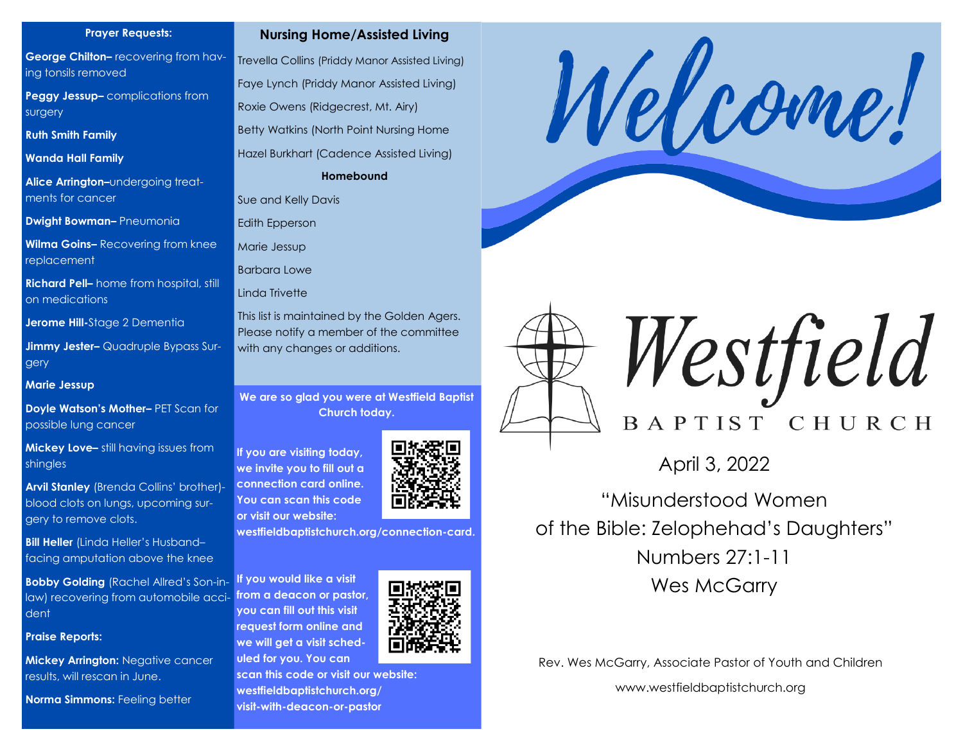#### **Prayer Requests:**

**George Chilton–** recovering from having tonsils removed

**Peggy Jessup–** complications from surgery

**Ruth Smith Family** 

**Wanda Hall Family** 

**Alice Arrington–**undergoing treatments for cancer

**Dwight Bowman–** Pneumonia

**Wilma Goins–** Recovering from knee replacement

**Richard Pell–** home from hospital, still on medications

**Jerome Hill-**Stage 2 Dementia

**Jimmy Jester–** Quadruple Bypass Surgery

**Marie Jessup**

**Doyle Watson's Mother–** PET Scan for possible lung cancer

**Mickey Love–** still having issues from shingles

**Arvil Stanley** (Brenda Collins' brother) blood clots on lungs, upcoming surgery to remove clots.

**Bill Heller** (Linda Heller's Husband– facing amputation above the knee

**Bobby Golding** (Rachel Allred's Son-inlaw) recovering from automobile accident

**Praise Reports:**

**Mickey Arrington: Negative cancer** results, will rescan in June.

**Norma Simmons: Feeling better** 



Trevella Collins (Priddy Manor Assisted Living) Faye Lynch (Priddy Manor Assisted Living) Roxie Owens (Ridgecrest, Mt. Airy) Betty Watkins (North Point Nursing Home Hazel Burkhart (Cadence Assisted Living) **Homebound**

Sue and Kelly Davis

Edith Epperson

Marie Jessup

Barbara Lowe

Linda Trivette

This list is maintained by the Golden Agers. Please notify a member of the committee with any changes or additions.

**We are so glad you were at Westfield Baptist Church today.** 

**If you are visiting today, we invite you to fill out a connection card online. You can scan this code or visit our website:**



**westfieldbaptistchurch.org/connection-card.** 

**If you would like a visit from a deacon or pastor, you can fill out this visit request form online and we will get a visit scheduled for you. You can** 







Westfield BAPTIST CHURCH

April 3, 2022

"Misunderstood Women of the Bible: Zelophehad's Daughters" Numbers 27:1-11 Wes McGarry

Rev. Wes McGarry, Associate Pastor of Youth and Children

www.westfieldbaptistchurch.org